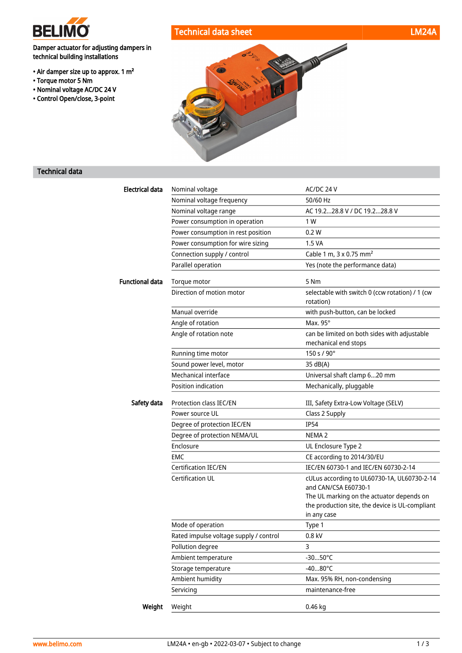

• Torque motor 5 Nm • Nominal voltage AC/DC 24 V • Control Open/close, 3-point

Damper actuator for adjusting dampers in

technical building installations

• Air damper size up to approx. 1 m<sup>2</sup>

# Technical data sheet LM24A

# Technical data

| <b>Electrical data</b> | Nominal voltage                        | AC/DC 24 V                                                                                                  |
|------------------------|----------------------------------------|-------------------------------------------------------------------------------------------------------------|
|                        | Nominal voltage frequency              | 50/60 Hz                                                                                                    |
|                        | Nominal voltage range                  | AC 19.228.8 V / DC 19.228.8 V                                                                               |
|                        | Power consumption in operation         | 1 W                                                                                                         |
|                        | Power consumption in rest position     | 0.2W                                                                                                        |
|                        | Power consumption for wire sizing      | 1.5 VA                                                                                                      |
|                        | Connection supply / control            | Cable 1 m, 3 x 0.75 mm <sup>2</sup>                                                                         |
|                        | Parallel operation                     | Yes (note the performance data)                                                                             |
| <b>Functional data</b> | Torque motor                           | 5 Nm                                                                                                        |
|                        | Direction of motion motor              | selectable with switch 0 (ccw rotation) / 1 (cw<br>rotation)                                                |
|                        | Manual override                        | with push-button, can be locked                                                                             |
|                        | Angle of rotation                      | Max. 95°                                                                                                    |
|                        | Angle of rotation note                 | can be limited on both sides with adjustable<br>mechanical end stops                                        |
|                        | Running time motor                     | 150 s / 90°                                                                                                 |
|                        | Sound power level, motor               | 35 dB(A)                                                                                                    |
|                        | Mechanical interface                   | Universal shaft clamp 620 mm                                                                                |
|                        | Position indication                    | Mechanically, pluggable                                                                                     |
| Safety data            | Protection class IEC/EN                | III, Safety Extra-Low Voltage (SELV)                                                                        |
|                        | Power source UL                        | Class 2 Supply                                                                                              |
|                        | Degree of protection IEC/EN            | <b>IP54</b>                                                                                                 |
|                        | Degree of protection NEMA/UL           | NEMA <sub>2</sub>                                                                                           |
|                        | Enclosure                              | UL Enclosure Type 2                                                                                         |
|                        | <b>EMC</b>                             | CE according to 2014/30/EU                                                                                  |
|                        | <b>Certification IEC/EN</b>            | IEC/EN 60730-1 and IEC/EN 60730-2-14                                                                        |
|                        | <b>Certification UL</b>                | cULus according to UL60730-1A, UL60730-2-14<br>and CAN/CSA E60730-1                                         |
|                        |                                        | The UL marking on the actuator depends on<br>the production site, the device is UL-compliant<br>in any case |
|                        | Mode of operation                      | Type 1                                                                                                      |
|                        | Rated impulse voltage supply / control | $0.8$ kV                                                                                                    |
|                        | Pollution degree                       | 3                                                                                                           |
|                        | Ambient temperature                    | $-3050^{\circ}C$                                                                                            |
|                        | Storage temperature                    | $-4080^{\circ}$ C                                                                                           |
|                        | Ambient humidity                       | Max. 95% RH, non-condensing                                                                                 |
|                        | Servicing                              | maintenance-free                                                                                            |
| Weight                 | Weight                                 | 0.46 kg                                                                                                     |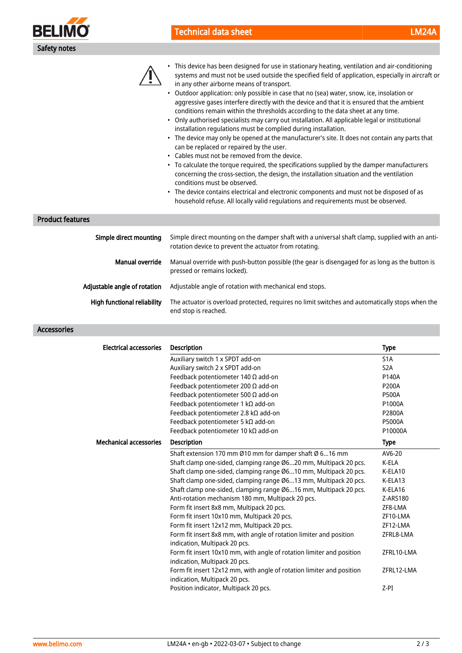

# Technical data sheet LM24A



• This device has been designed for use in stationary heating, ventilation and air-conditioning systems and must not be used outside the specified field of application, especially in aircraft or in any other airborne means of transport.

- Outdoor application: only possible in case that no (sea) water, snow, ice, insolation or aggressive gases interfere directly with the device and that it is ensured that the ambient conditions remain within the thresholds according to the data sheet at any time.
- Only authorised specialists may carry out installation. All applicable legal or institutional installation regulations must be complied during installation.
- The device may only be opened at the manufacturer's site. It does not contain any parts that can be replaced or repaired by the user.
- Cables must not be removed from the device.
- To calculate the torque required, the specifications supplied by the damper manufacturers concerning the cross-section, the design, the installation situation and the ventilation conditions must be observed.
- The device contains electrical and electronic components and must not be disposed of as household refuse. All locally valid regulations and requirements must be observed.

#### Product features

| Simple direct mounting             | Simple direct mounting on the damper shaft with a universal shaft clamp, supplied with an anti-<br>rotation device to prevent the actuator from rotating. |
|------------------------------------|-----------------------------------------------------------------------------------------------------------------------------------------------------------|
| Manual override                    | Manual override with push-button possible (the gear is disengaged for as long as the button is<br>pressed or remains locked).                             |
| Adjustable angle of rotation       | Adjustable angle of rotation with mechanical end stops.                                                                                                   |
| <b>High functional reliability</b> | The actuator is overload protected, requires no limit switches and automatically stops when the<br>end stop is reached.                                   |

## Accessories

| <b>Electrical accessories</b> | <b>Description</b>                                                                                     | <b>Type</b>      |
|-------------------------------|--------------------------------------------------------------------------------------------------------|------------------|
|                               | Auxiliary switch 1 x SPDT add-on                                                                       | S <sub>1</sub> A |
|                               | Auxiliary switch 2 x SPDT add-on                                                                       | S <sub>2</sub> A |
|                               | Feedback potentiometer 140 $\Omega$ add-on                                                             | P140A            |
|                               | Feedback potentiometer 200 $\Omega$ add-on                                                             | P200A            |
|                               | Feedback potentiometer 500 $\Omega$ add-on                                                             | <b>P500A</b>     |
|                               | Feedback potentiometer 1 kΩ add-on                                                                     | P1000A           |
|                               | Feedback potentiometer 2.8 kΩ add-on                                                                   | P2800A           |
|                               | Feedback potentiometer 5 k $\Omega$ add-on                                                             | <b>P5000A</b>    |
|                               | Feedback potentiometer 10 kΩ add-on                                                                    | P10000A          |
| <b>Mechanical accessories</b> | <b>Description</b>                                                                                     | <b>Type</b>      |
|                               | Shaft extension 170 mm Ø10 mm for damper shaft Ø 616 mm                                                | AV6-20           |
|                               | Shaft clamp one-sided, clamping range Ø620 mm, Multipack 20 pcs.                                       | K-ELA            |
|                               | Shaft clamp one-sided, clamping range Ø610 mm, Multipack 20 pcs.                                       | K-ELA10          |
|                               | Shaft clamp one-sided, clamping range Ø613 mm, Multipack 20 pcs.                                       | K-ELA13          |
|                               | Shaft clamp one-sided, clamping range Ø616 mm, Multipack 20 pcs.                                       | K-ELA16          |
|                               | Anti-rotation mechanism 180 mm, Multipack 20 pcs.                                                      | Z-ARS180         |
|                               | Form fit insert 8x8 mm, Multipack 20 pcs.                                                              | ZF8-LMA          |
|                               | Form fit insert 10x10 mm, Multipack 20 pcs.                                                            | ZF10-LMA         |
|                               | Form fit insert 12x12 mm, Multipack 20 pcs.                                                            | ZF12-LMA         |
|                               | Form fit insert 8x8 mm, with angle of rotation limiter and position<br>indication, Multipack 20 pcs.   | ZFRL8-LMA        |
|                               | Form fit insert 10x10 mm, with angle of rotation limiter and position<br>indication, Multipack 20 pcs. | ZFRL10-LMA       |
|                               | Form fit insert 12x12 mm, with angle of rotation limiter and position<br>indication, Multipack 20 pcs. | ZFRL12-LMA       |
|                               | Position indicator, Multipack 20 pcs.                                                                  | $Z-PI$           |